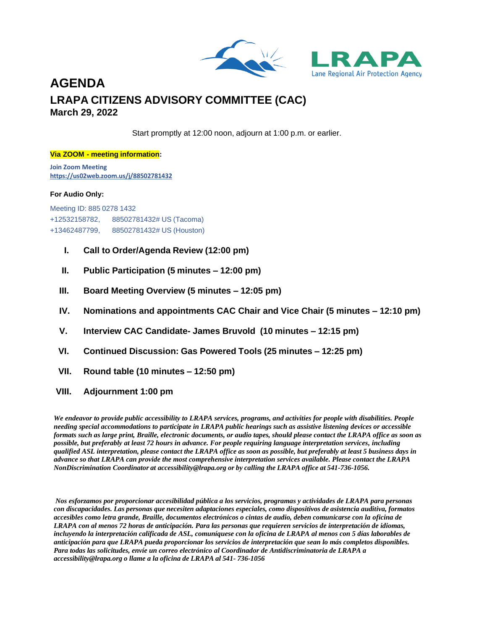

### **AGENDA LRAPA CITIZENS ADVISORY COMMITTEE (CAC) March 29, 2022**

Start promptly at 12:00 noon, adjourn at 1:00 p.m. or earlier.

#### **Via ZOOM - meeting information:**

**Join Zoom Meeting <https://us02web.zoom.us/j/88502781432>**

#### **For Audio Only:**

Meeting ID: 885 0278 1432 +12532158782, 88502781432# US (Tacoma) +13462487799, 88502781432# US (Houston)

- **I. Call to Order/Agenda Review (12:00 pm)**
- **II. Public Participation (5 minutes – 12:00 pm)**
- **III. Board Meeting Overview (5 minutes – 12:05 pm)**
- **IV. Nominations and appointments CAC Chair and Vice Chair (5 minutes – 12:10 pm)**
- **V. Interview CAC Candidate- James Bruvold (10 minutes – 12:15 pm)**
- **VI. Continued Discussion: Gas Powered Tools (25 minutes – 12:25 pm)**
- **VII. Round table (10 minutes – 12:50 pm)**
- **VIII. Adjournment 1:00 pm**

*We endeavor to provide public accessibility to LRAPA services, programs, and activities for people with disabilities. People needing special accommodations to participate in LRAPA public hearings such as assistive listening devices or accessible formats such as large print, Braille, electronic documents, or audio tapes, should please contact the LRAPA office as soon as possible, but preferably at least 72 hours in advance. For people requiring language interpretation services, including qualified ASL interpretation, please contact the LRAPA office as soon as possible, but preferably at least 5 business days in advance so that LRAPA can provide the most comprehensive interpretation services available. Please contact the LRAPA NonDiscrimination Coordinator at [accessibility@lrapa.org](mailto:accessibility@lrapa.org) or by calling the LRAPA office at 541-736-1056.*

*Nos esforzamos por proporcionar accesibilidad pública a los servicios, programas y actividades de LRAPA para personas con discapacidades. Las personas que necesiten adaptaciones especiales, como dispositivos de asistencia auditiva, formatos accesibles como letra grande, Braille, documentos electrónicos o cintas de audio, deben comunicarse con la oficina de LRAPA con al menos 72 horas de anticipación. Para las personas que requieren servicios de interpretación de idiomas, incluyendo la interpretación calificada de ASL, comuníquese con la oficina de LRAPA al menos con 5 días laborables de anticipación para que LRAPA pueda proporcionar los servicios de interpretación que sean lo más completos disponibles. Para todas las solicitudes, envíe un correo electrónico al Coordinador de Antidiscriminatoria de LRAPA a [accessibility@lrapa.org](mailto:accessibility@lrapa.org) o llame a la oficina de LRAPA al 541- 736-1056*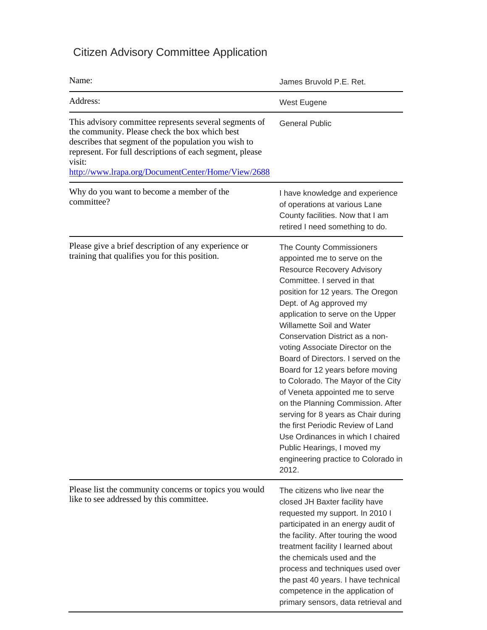## Citizen Advisory Committee Application

| Name:                                                                                                                                                                                                                                  | James Bruvold P.E. Ret.                                                                                                                                                                                                                                                                                                                                                                                                                                                                                                                                                                                                                                                                                                        |
|----------------------------------------------------------------------------------------------------------------------------------------------------------------------------------------------------------------------------------------|--------------------------------------------------------------------------------------------------------------------------------------------------------------------------------------------------------------------------------------------------------------------------------------------------------------------------------------------------------------------------------------------------------------------------------------------------------------------------------------------------------------------------------------------------------------------------------------------------------------------------------------------------------------------------------------------------------------------------------|
| Address:                                                                                                                                                                                                                               | West Eugene                                                                                                                                                                                                                                                                                                                                                                                                                                                                                                                                                                                                                                                                                                                    |
| This advisory committee represents several segments of<br>the community. Please check the box which best<br>describes that segment of the population you wish to<br>represent. For full descriptions of each segment, please<br>visit: | <b>General Public</b>                                                                                                                                                                                                                                                                                                                                                                                                                                                                                                                                                                                                                                                                                                          |
| http://www.lrapa.org/DocumentCenter/Home/View/2688                                                                                                                                                                                     |                                                                                                                                                                                                                                                                                                                                                                                                                                                                                                                                                                                                                                                                                                                                |
| Why do you want to become a member of the<br>committee?                                                                                                                                                                                | I have knowledge and experience<br>of operations at various Lane<br>County facilities. Now that I am<br>retired I need something to do.                                                                                                                                                                                                                                                                                                                                                                                                                                                                                                                                                                                        |
| Please give a brief description of any experience or<br>training that qualifies you for this position.                                                                                                                                 | The County Commissioners<br>appointed me to serve on the<br><b>Resource Recovery Advisory</b><br>Committee. I served in that<br>position for 12 years. The Oregon<br>Dept. of Ag approved my<br>application to serve on the Upper<br>Willamette Soil and Water<br>Conservation District as a non-<br>voting Associate Director on the<br>Board of Directors. I served on the<br>Board for 12 years before moving<br>to Colorado. The Mayor of the City<br>of Veneta appointed me to serve<br>on the Planning Commission. After<br>serving for 8 years as Chair during<br>the first Periodic Review of Land<br>Use Ordinances in which I chaired<br>Public Hearings, I moved my<br>engineering practice to Colorado in<br>2012. |
| Please list the community concerns or topics you would<br>like to see addressed by this committee.                                                                                                                                     | The citizens who live near the<br>closed JH Baxter facility have<br>requested my support. In 2010 I<br>participated in an energy audit of<br>the facility. After touring the wood<br>treatment facility I learned about<br>the chemicals used and the<br>process and techniques used over<br>the past 40 years. I have technical<br>competence in the application of<br>primary sensors, data retrieval and                                                                                                                                                                                                                                                                                                                    |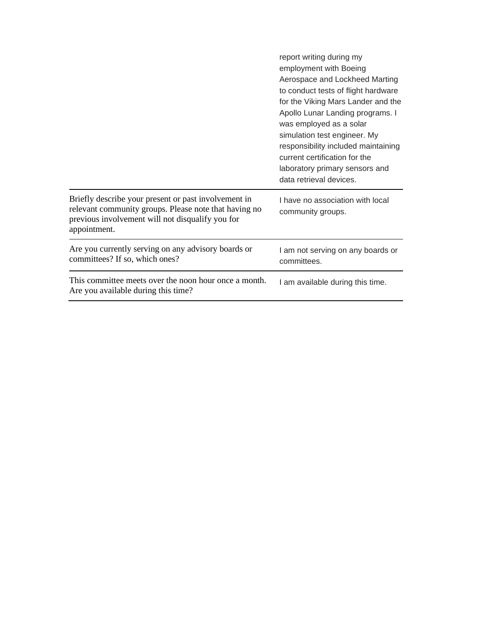|                                                                                                                                                                                   | report writing during my<br>employment with Boeing<br>Aerospace and Lockheed Marting<br>to conduct tests of flight hardware<br>for the Viking Mars Lander and the<br>Apollo Lunar Landing programs. I<br>was employed as a solar<br>simulation test engineer. My<br>responsibility included maintaining<br>current certification for the<br>laboratory primary sensors and<br>data retrieval devices. |
|-----------------------------------------------------------------------------------------------------------------------------------------------------------------------------------|-------------------------------------------------------------------------------------------------------------------------------------------------------------------------------------------------------------------------------------------------------------------------------------------------------------------------------------------------------------------------------------------------------|
| Briefly describe your present or past involvement in<br>relevant community groups. Please note that having no<br>previous involvement will not disqualify you for<br>appointment. | I have no association with local<br>community groups.                                                                                                                                                                                                                                                                                                                                                 |
| Are you currently serving on any advisory boards or<br>committees? If so, which ones?                                                                                             | I am not serving on any boards or<br>committees.                                                                                                                                                                                                                                                                                                                                                      |
| This committee meets over the noon hour once a month.<br>Are you available during this time?                                                                                      | I am available during this time.                                                                                                                                                                                                                                                                                                                                                                      |